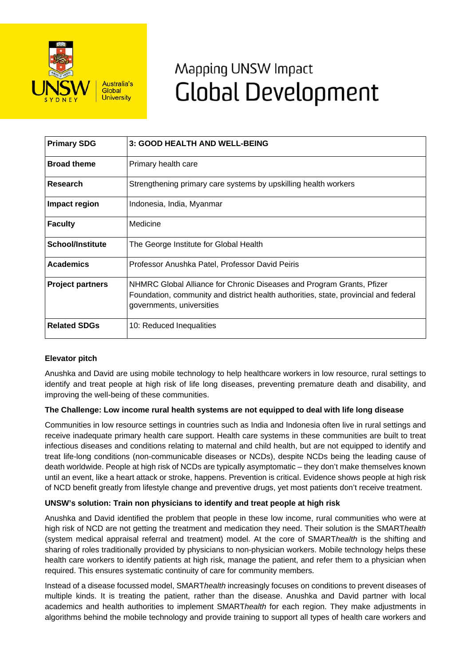

# Mapping UNSW Impact **Global Development**

| <b>Primary SDG</b>      | 3: GOOD HEALTH AND WELL-BEING                                                                                                                                                              |
|-------------------------|--------------------------------------------------------------------------------------------------------------------------------------------------------------------------------------------|
| <b>Broad theme</b>      | Primary health care                                                                                                                                                                        |
| Research                | Strengthening primary care systems by upskilling health workers                                                                                                                            |
| Impact region           | Indonesia, India, Myanmar                                                                                                                                                                  |
| <b>Faculty</b>          | Medicine                                                                                                                                                                                   |
| <b>School/Institute</b> | The George Institute for Global Health                                                                                                                                                     |
| <b>Academics</b>        | Professor Anushka Patel, Professor David Peiris                                                                                                                                            |
| <b>Project partners</b> | NHMRC Global Alliance for Chronic Diseases and Program Grants, Pfizer<br>Foundation, community and district health authorities, state, provincial and federal<br>governments, universities |
| <b>Related SDGs</b>     | 10: Reduced Inequalities                                                                                                                                                                   |

# **Elevator pitch**

Anushka and David are using mobile technology to help healthcare workers in low resource, rural settings to identify and treat people at high risk of life long diseases, preventing premature death and disability, and improving the well-being of these communities.

# **The Challenge: Low income rural health systems are not equipped to deal with life long disease**

Communities in low resource settings in countries such as India and Indonesia often live in rural settings and receive inadequate primary health care support. Health care systems in these communities are built to treat infectious diseases and conditions relating to maternal and child health, but are not equipped to identify and treat life-long conditions (non-communicable diseases or NCDs), despite NCDs being the leading cause of death worldwide. People at high risk of NCDs are typically asymptomatic – they don't make themselves known until an event, like a heart attack or stroke, happens. Prevention is critical. Evidence shows people at high risk of NCD benefit greatly from lifestyle change and preventive drugs, yet most patients don't receive treatment.

# **UNSW's solution: Train non physicians to identify and treat people at high risk**

Anushka and David identified the problem that people in these low income, rural communities who were at high risk of NCD are not getting the treatment and medication they need. Their solution is the SMART*health* (system medical appraisal referral and treatment) model. At the core of SMART*health* is the shifting and sharing of roles traditionally provided by physicians to non-physician workers. Mobile technology helps these health care workers to identify patients at high risk, manage the patient, and refer them to a physician when required. This ensures systematic continuity of care for community members.

Instead of a disease focussed model, SMART*health* increasingly focuses on conditions to prevent diseases of multiple kinds. It is treating the patient, rather than the disease. Anushka and David partner with local academics and health authorities to implement SMART*health* for each region. They make adjustments in algorithms behind the mobile technology and provide training to support all types of health care workers and